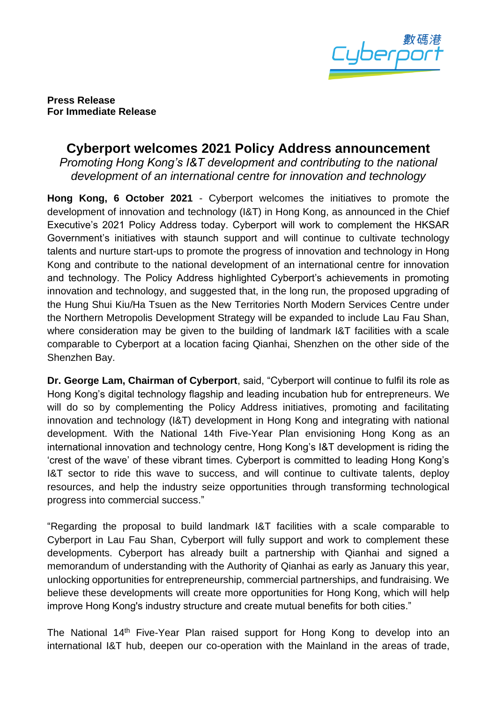

**Press Release For Immediate Release** 

## **Cyberport welcomes 2021 Policy Address announcement**

*Promoting Hong Kong's I&T development and contributing to the national development of an international centre for innovation and technology*

**Hong Kong, 6 October 2021** - Cyberport welcomes the initiatives to promote the development of innovation and technology (I&T) in Hong Kong, as announced in the Chief Executive's 2021 Policy Address today. Cyberport will work to complement the HKSAR Government's initiatives with staunch support and will continue to cultivate technology talents and nurture start-ups to promote the progress of innovation and technology in Hong Kong and contribute to the national development of an international centre for innovation and technology. The Policy Address highlighted Cyberport's achievements in promoting innovation and technology, and suggested that, in the long run, the proposed upgrading of the Hung Shui Kiu/Ha Tsuen as the New Territories North Modern Services Centre under the Northern Metropolis Development Strategy will be expanded to include Lau Fau Shan, where consideration may be given to the building of landmark I&T facilities with a scale comparable to Cyberport at a location facing Qianhai, Shenzhen on the other side of the Shenzhen Bay.

**Dr. George Lam, Chairman of Cyberport**, said, "Cyberport will continue to fulfil its role as Hong Kong's digital technology flagship and leading incubation hub for entrepreneurs. We will do so by complementing the Policy Address initiatives, promoting and facilitating innovation and technology (I&T) development in Hong Kong and integrating with national development. With the National 14th Five-Year Plan envisioning Hong Kong as an international innovation and technology centre, Hong Kong's I&T development is riding the 'crest of the wave' of these vibrant times. Cyberport is committed to leading Hong Kong's I&T sector to ride this wave to success, and will continue to cultivate talents, deploy resources, and help the industry seize opportunities through transforming technological progress into commercial success."

"Regarding the proposal to build landmark I&T facilities with a scale comparable to Cyberport in Lau Fau Shan, Cyberport will fully support and work to complement these developments. Cyberport has already built a partnership with Qianhai and signed a memorandum of understanding with the Authority of Qianhai as early as January this year, unlocking opportunities for entrepreneurship, commercial partnerships, and fundraising. We believe these developments will create more opportunities for Hong Kong, which will help improve Hong Kong's industry structure and create mutual benefits for both cities."

The National 14<sup>th</sup> Five-Year Plan raised support for Hong Kong to develop into an international I&T hub, deepen our co-operation with the Mainland in the areas of trade,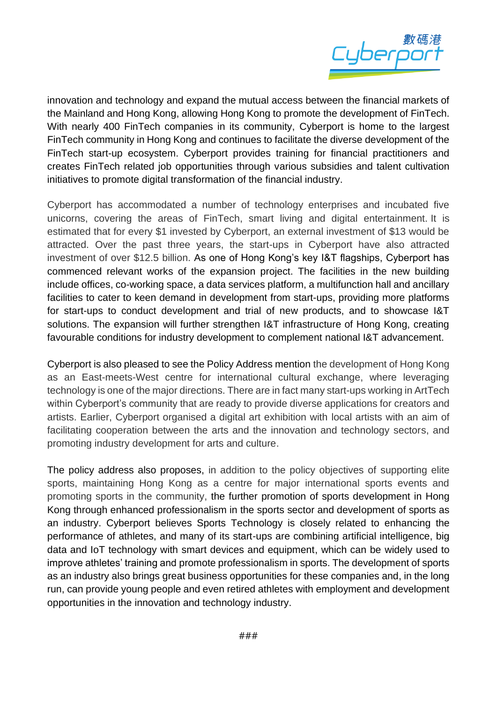

innovation and technology and expand the mutual access between the financial markets of the Mainland and Hong Kong, allowing Hong Kong to promote the development of FinTech. With nearly 400 FinTech companies in its community, Cyberport is home to the largest FinTech community in Hong Kong and continues to facilitate the diverse development of the FinTech start-up ecosystem. Cyberport provides training for financial practitioners and creates FinTech related job opportunities through various subsidies and talent cultivation initiatives to promote digital transformation of the financial industry.

Cyberport has accommodated a number of technology enterprises and incubated five unicorns, covering the areas of FinTech, smart living and digital entertainment. It is estimated that for every \$1 invested by Cyberport, an external investment of \$13 would be attracted. Over the past three years, the start-ups in Cyberport have also attracted investment of over \$12.5 billion. As one of Hong Kong's key I&T flagships, Cyberport has commenced relevant works of the expansion project. The facilities in the new building include offices, co-working space, a data services platform, a multifunction hall and ancillary facilities to cater to keen demand in development from start-ups, providing more platforms for start-ups to conduct development and trial of new products, and to showcase I&T solutions. The expansion will further strengthen I&T infrastructure of Hong Kong, creating favourable conditions for industry development to complement national I&T advancement.

Cyberport is also pleased to see the Policy Address mention the development of Hong Kong as an East-meets-West centre for international cultural exchange, where leveraging technology is one of the major directions. There are in fact many start-ups working in ArtTech within Cyberport's community that are ready to provide diverse applications for creators and artists. Earlier, Cyberport organised a digital art exhibition with local artists with an aim of facilitating cooperation between the arts and the innovation and technology sectors, and promoting industry development for arts and culture.

The policy address also proposes, in addition to the policy objectives of supporting elite sports, maintaining Hong Kong as a centre for major international sports events and promoting sports in the community, the further promotion of sports development in Hong Kong through enhanced professionalism in the sports sector and development of sports as an industry. Cyberport believes Sports Technology is closely related to enhancing the performance of athletes, and many of its start-ups are combining artificial intelligence, big data and IoT technology with smart devices and equipment, which can be widely used to improve athletes' training and promote professionalism in sports. The development of sports as an industry also brings great business opportunities for these companies and, in the long run, can provide young people and even retired athletes with employment and development opportunities in the innovation and technology industry.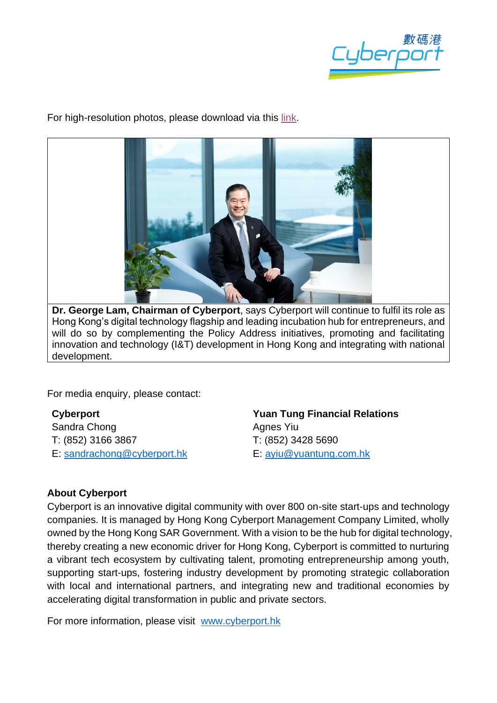

For high-resolution photos, please download via this [link.](https://drive.google.com/drive/folders/1zGxrV3pDBBSeOrZ8XI2hy6hE7bNCjojb?usp=sharing)



**Dr. George Lam, Chairman of Cyberport**, says Cyberport will continue to fulfil its role as Hong Kong's digital technology flagship and leading incubation hub for entrepreneurs, and will do so by complementing the Policy Address initiatives, promoting and facilitating innovation and technology (I&T) development in Hong Kong and integrating with national development.

For media enquiry, please contact:

**Cyberport**  Sandra Chong T: (852) 3166 3867 E: [sandrachong@cyberport.hk](mailto:sandrachong@cyberport.hk) **Yuan Tung Financial Relations** Agnes Yiu T: (852) 3428 5690 E: [ayiu@yuantung.com.hk](mailto:ayiu@yuantung.com.hk)

## **About Cyberport**

Cyberport is an innovative digital community with over 800 on-site start-ups and technology companies. It is managed by Hong Kong Cyberport Management Company Limited, wholly owned by the Hong Kong SAR Government. With a vision to be the hub for digital technology, thereby creating a new economic driver for Hong Kong, Cyberport is committed to nurturing a vibrant tech ecosystem by cultivating talent, promoting entrepreneurship among youth, supporting start-ups, fostering industry development by promoting strategic collaboration with local and international partners, and integrating new and traditional economies by accelerating digital transformation in public and private sectors.

For more information, please visit [www.cyberport.hk](http://www.cyberport.hk/)